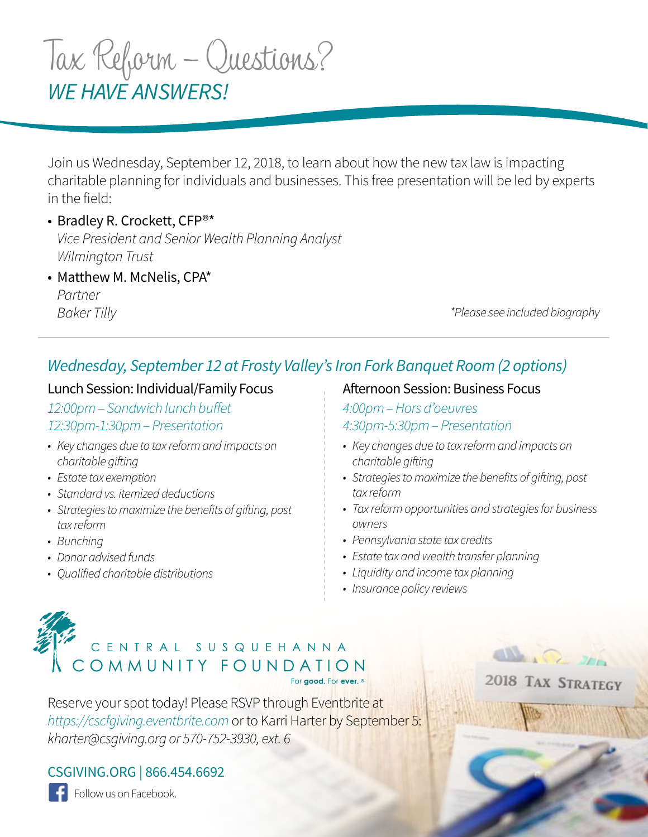# *WE HAVE ANSWERS!* Tax Reform – Questions?

Join us Wednesday, September 12, 2018, to learn about how the new tax law is impacting charitable planning for individuals and businesses. This free presentation will be led by experts in the field:

• Bradley R. Crockett, CFP®\* *Vice President and Senior Wealth Planning Analyst Wilmington Trust*

• Matthew M. McNelis, CPA\* *Partner Baker Tilly*

*\*Please see included biography*

 $\mathbb{R}\Omega$ 

2018 TAX STRATEGY

## *Wednesday, September 12 at Frosty Valley's Iron Fork Banquet Room (2 options)*

## Lunch Session: Individual/Family Focus

*12:00pm – Sandwich lunch buffet 12:30pm-1:30pm – Presentation*

- *• Key changes due to tax reform and impacts on charitable gifting*
- *• Estate tax exemption*
- *• Standard vs. itemized deductions*
- *• Strategies to maximize the benefits of gifting, post tax reform*
- *• Bunching*
- *• Donor advised funds*
- *• Qualified charitable distributions*

Afternoon Session: Business Focus

*4:00pm – Hors d'oeuvres 4:30pm-5:30pm – Presentation*

- *• Key changes due to tax reform and impacts on charitable gifting*
- *• Strategies to maximize the benefits of gifting, post tax reform*
- *• Tax reform opportunities and strategies for business owners*
- *• Pennsylvania state tax credits*
- *• Estate tax and wealth transfer planning*
- *• Liquidity and income tax planning*
- *• Insurance policy reviews*

# CENTRAL SUSQUEHANNA COMMUNITY FOUNDATION For good, For ever, <sup>®</sup>

Reserve your spot today! Please RSVP through Eventbrite at *https://cscfgiving.eventbrite.com* or to Karri Harter by September 5: *kharter@csgiving.org or 570-752-3930, ext. 6*

CSGIVING.ORG | 866.454.6692

Follow us on Facebook.